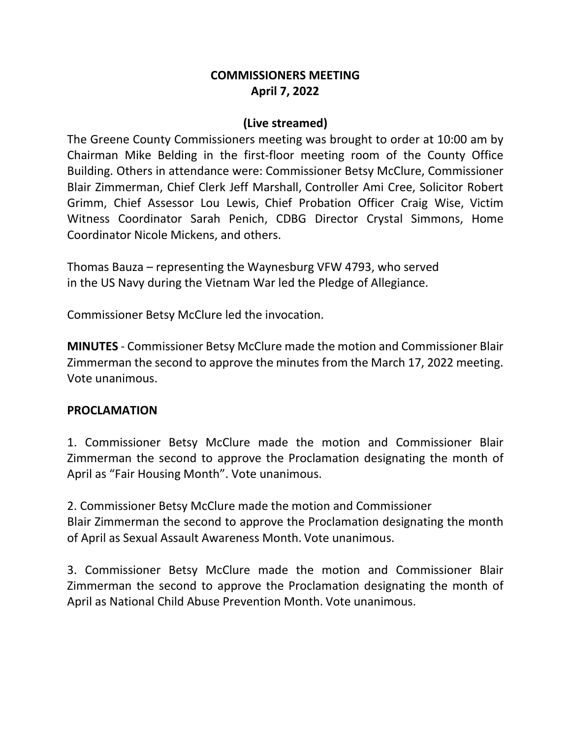## **COMMISSIONERS MEETING April 7, 2022**

#### **(Live streamed)**

The Greene County Commissioners meeting was brought to order at 10:00 am by Chairman Mike Belding in the first-floor meeting room of the County Office Building. Others in attendance were: Commissioner Betsy McClure, Commissioner Blair Zimmerman, Chief Clerk Jeff Marshall, Controller Ami Cree, Solicitor Robert Grimm, Chief Assessor Lou Lewis, Chief Probation Officer Craig Wise, Victim Witness Coordinator Sarah Penich, CDBG Director Crystal Simmons, Home Coordinator Nicole Mickens, and others.

Thomas Bauza – representing the Waynesburg VFW 4793, who served in the US Navy during the Vietnam War led the Pledge of Allegiance.

Commissioner Betsy McClure led the invocation.

**MINUTES** - Commissioner Betsy McClure made the motion and Commissioner Blair Zimmerman the second to approve the minutes from the March 17, 2022 meeting. Vote unanimous.

#### **PROCLAMATION**

1. Commissioner Betsy McClure made the motion and Commissioner Blair Zimmerman the second to approve the Proclamation designating the month of April as "Fair Housing Month". Vote unanimous.

2. Commissioner Betsy McClure made the motion and Commissioner Blair Zimmerman the second to approve the Proclamation designating the month of April as Sexual Assault Awareness Month. Vote unanimous.

3. Commissioner Betsy McClure made the motion and Commissioner Blair Zimmerman the second to approve the Proclamation designating the month of April as National Child Abuse Prevention Month. Vote unanimous.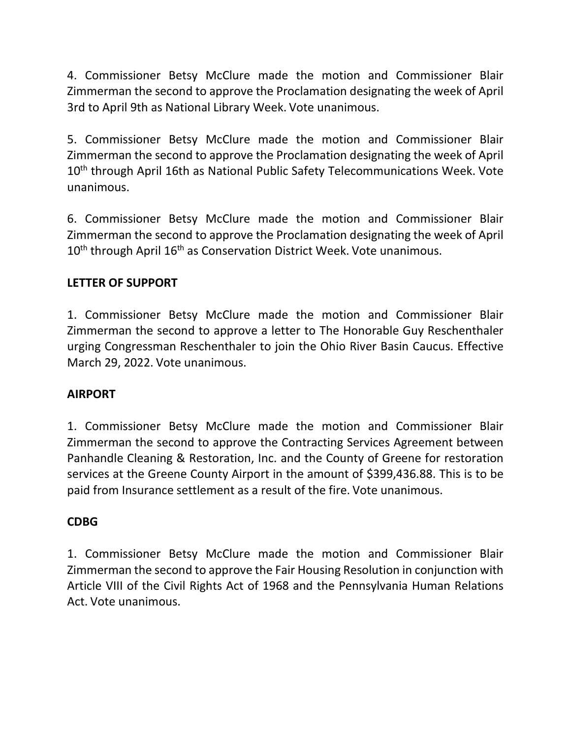4. Commissioner Betsy McClure made the motion and Commissioner Blair Zimmerman the second to approve the Proclamation designating the week of April 3rd to April 9th as National Library Week. Vote unanimous.

5. Commissioner Betsy McClure made the motion and Commissioner Blair Zimmerman the second to approve the Proclamation designating the week of April 10<sup>th</sup> through April 16th as National Public Safety Telecommunications Week. Vote unanimous.

6. Commissioner Betsy McClure made the motion and Commissioner Blair Zimmerman the second to approve the Proclamation designating the week of April 10<sup>th</sup> through April 16<sup>th</sup> as Conservation District Week. Vote unanimous.

# **LETTER OF SUPPORT**

1. Commissioner Betsy McClure made the motion and Commissioner Blair Zimmerman the second to approve a letter to The Honorable Guy Reschenthaler urging Congressman Reschenthaler to join the Ohio River Basin Caucus. Effective March 29, 2022. Vote unanimous.

# **AIRPORT**

1. Commissioner Betsy McClure made the motion and Commissioner Blair Zimmerman the second to approve the Contracting Services Agreement between Panhandle Cleaning & Restoration, Inc. and the County of Greene for restoration services at the Greene County Airport in the amount of \$399,436.88. This is to be paid from Insurance settlement as a result of the fire. Vote unanimous.

# **CDBG**

1. Commissioner Betsy McClure made the motion and Commissioner Blair Zimmerman the second to approve the Fair Housing Resolution in conjunction with Article VIII of the Civil Rights Act of 1968 and the Pennsylvania Human Relations Act. Vote unanimous.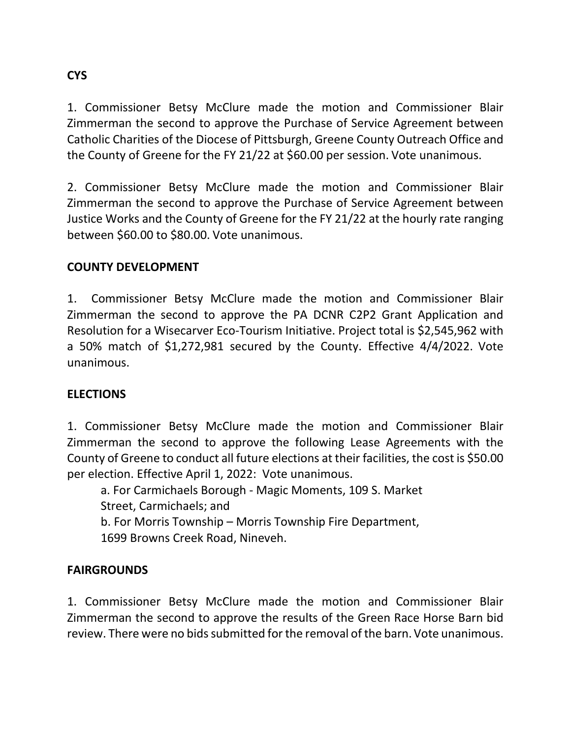# **CYS**

1. Commissioner Betsy McClure made the motion and Commissioner Blair Zimmerman the second to approve the Purchase of Service Agreement between Catholic Charities of the Diocese of Pittsburgh, Greene County Outreach Office and the County of Greene for the FY 21/22 at \$60.00 per session. Vote unanimous.

2. Commissioner Betsy McClure made the motion and Commissioner Blair Zimmerman the second to approve the Purchase of Service Agreement between Justice Works and the County of Greene for the FY 21/22 at the hourly rate ranging between \$60.00 to \$80.00. Vote unanimous.

## **COUNTY DEVELOPMENT**

1. Commissioner Betsy McClure made the motion and Commissioner Blair Zimmerman the second to approve the PA DCNR C2P2 Grant Application and Resolution for a Wisecarver Eco-Tourism Initiative. Project total is \$2,545,962 with a 50% match of \$1,272,981 secured by the County. Effective 4/4/2022. Vote unanimous.

### **ELECTIONS**

1. Commissioner Betsy McClure made the motion and Commissioner Blair Zimmerman the second to approve the following Lease Agreements with the County of Greene to conduct all future elections at their facilities, the cost is \$50.00 per election. Effective April 1, 2022: Vote unanimous.

a. For Carmichaels Borough - Magic Moments, 109 S. Market Street, Carmichaels; and b. For Morris Township – Morris Township Fire Department,

1699 Browns Creek Road, Nineveh.

### **FAIRGROUNDS**

1. Commissioner Betsy McClure made the motion and Commissioner Blair Zimmerman the second to approve the results of the Green Race Horse Barn bid review. There were no bids submitted for the removal of the barn.Vote unanimous.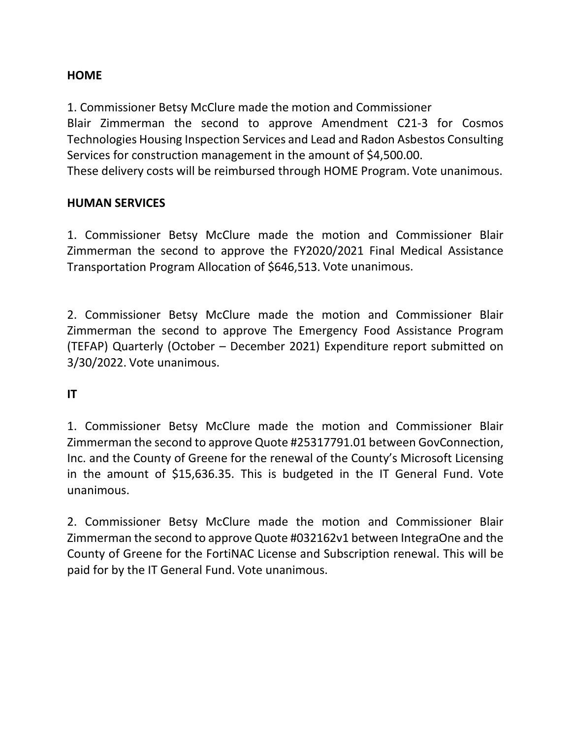#### **HOME**

1. Commissioner Betsy McClure made the motion and Commissioner

Blair Zimmerman the second to approve Amendment C21-3 for Cosmos Technologies Housing Inspection Services and Lead and Radon Asbestos Consulting Services for construction management in the amount of \$4,500.00.

These delivery costs will be reimbursed through HOME Program. Vote unanimous.

#### **HUMAN SERVICES**

1. Commissioner Betsy McClure made the motion and Commissioner Blair Zimmerman the second to approve the FY2020/2021 Final Medical Assistance Transportation Program Allocation of \$646,513. Vote unanimous.

2. Commissioner Betsy McClure made the motion and Commissioner Blair Zimmerman the second to approve The Emergency Food Assistance Program (TEFAP) Quarterly (October – December 2021) Expenditure report submitted on 3/30/2022. Vote unanimous.

**IT**

1. Commissioner Betsy McClure made the motion and Commissioner Blair Zimmerman the second to approve Quote #25317791.01 between GovConnection, Inc. and the County of Greene for the renewal of the County's Microsoft Licensing in the amount of \$15,636.35. This is budgeted in the IT General Fund. Vote unanimous.

2. Commissioner Betsy McClure made the motion and Commissioner Blair Zimmerman the second to approve Quote #032162v1 between IntegraOne and the County of Greene for the FortiNAC License and Subscription renewal. This will be paid for by the IT General Fund. Vote unanimous.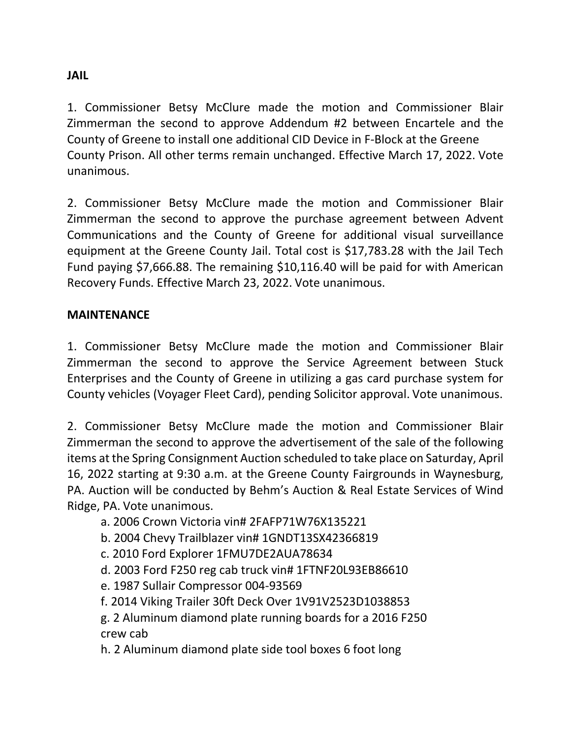## **JAIL**

1. Commissioner Betsy McClure made the motion and Commissioner Blair Zimmerman the second to approve Addendum #2 between Encartele and the County of Greene to install one additional CID Device in F-Block at the Greene County Prison. All other terms remain unchanged. Effective March 17, 2022. Vote unanimous.

2. Commissioner Betsy McClure made the motion and Commissioner Blair Zimmerman the second to approve the purchase agreement between Advent Communications and the County of Greene for additional visual surveillance equipment at the Greene County Jail. Total cost is \$17,783.28 with the Jail Tech Fund paying \$7,666.88. The remaining \$10,116.40 will be paid for with American Recovery Funds. Effective March 23, 2022. Vote unanimous.

## **MAINTENANCE**

1. Commissioner Betsy McClure made the motion and Commissioner Blair Zimmerman the second to approve the Service Agreement between Stuck Enterprises and the County of Greene in utilizing a gas card purchase system for County vehicles (Voyager Fleet Card), pending Solicitor approval. Vote unanimous.

2. Commissioner Betsy McClure made the motion and Commissioner Blair Zimmerman the second to approve the advertisement of the sale of the following items at the Spring Consignment Auction scheduled to take place on Saturday, April 16, 2022 starting at 9:30 a.m. at the Greene County Fairgrounds in Waynesburg, PA. Auction will be conducted by Behm's Auction & Real Estate Services of Wind Ridge, PA. Vote unanimous.

- a. 2006 Crown Victoria vin# 2FAFP71W76X135221
- b. 2004 Chevy Trailblazer vin# 1GNDT13SX42366819
- c. 2010 Ford Explorer 1FMU7DE2AUA78634
- d. 2003 Ford F250 reg cab truck vin# 1FTNF20L93EB86610
- e. 1987 Sullair Compressor 004-93569
- f. 2014 Viking Trailer 30ft Deck Over 1V91V2523D1038853
- g. 2 Aluminum diamond plate running boards for a 2016 F250 crew cab
- h. 2 Aluminum diamond plate side tool boxes 6 foot long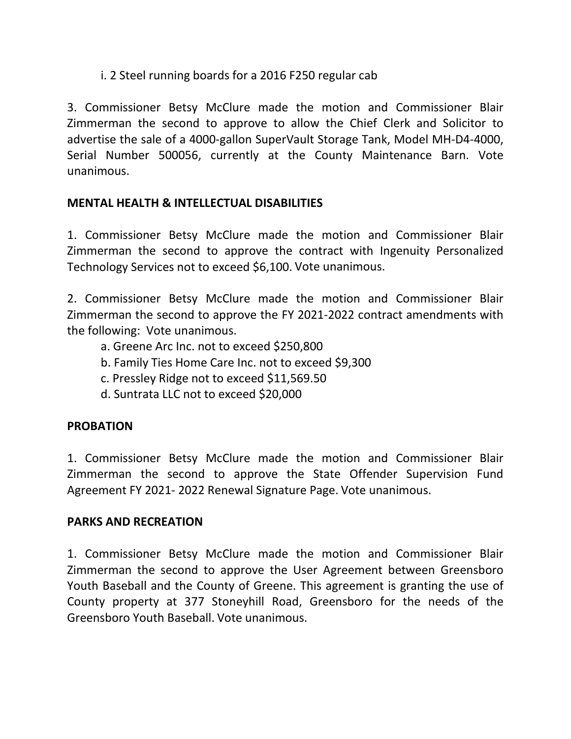## i. 2 Steel running boards for a 2016 F250 regular cab

3. Commissioner Betsy McClure made the motion and Commissioner Blair Zimmerman the second to approve to allow the Chief Clerk and Solicitor to advertise the sale of a 4000-gallon SuperVault Storage Tank, Model MH-D4-4000, Serial Number 500056, currently at the County Maintenance Barn. Vote unanimous.

### **MENTAL HEALTH & INTELLECTUAL DISABILITIES**

1. Commissioner Betsy McClure made the motion and Commissioner Blair Zimmerman the second to approve the contract with Ingenuity Personalized Technology Services not to exceed \$6,100. Vote unanimous.

2. Commissioner Betsy McClure made the motion and Commissioner Blair Zimmerman the second to approve the FY 2021-2022 contract amendments with the following: Vote unanimous.

- a. Greene Arc Inc. not to exceed \$250,800
- b. Family Ties Home Care Inc. not to exceed \$9,300
- c. Pressley Ridge not to exceed \$11,569.50
- d. Suntrata LLC not to exceed \$20,000

### **PROBATION**

1. Commissioner Betsy McClure made the motion and Commissioner Blair Zimmerman the second to approve the State Offender Supervision Fund Agreement FY 2021- 2022 Renewal Signature Page. Vote unanimous.

### **PARKS AND RECREATION**

1. Commissioner Betsy McClure made the motion and Commissioner Blair Zimmerman the second to approve the User Agreement between Greensboro Youth Baseball and the County of Greene. This agreement is granting the use of County property at 377 Stoneyhill Road, Greensboro for the needs of the Greensboro Youth Baseball. Vote unanimous.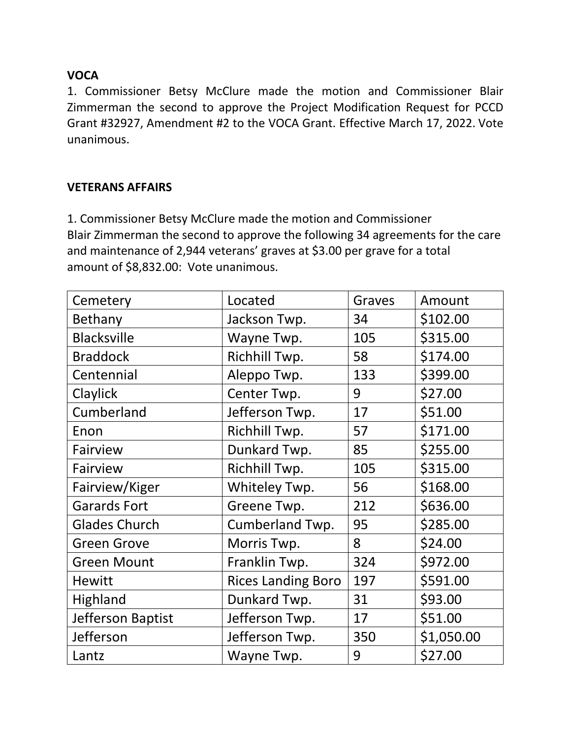## **VOCA**

1. Commissioner Betsy McClure made the motion and Commissioner Blair Zimmerman the second to approve the Project Modification Request for PCCD Grant #32927, Amendment #2 to the VOCA Grant. Effective March 17, 2022. Vote unanimous.

## **VETERANS AFFAIRS**

1. Commissioner Betsy McClure made the motion and Commissioner Blair Zimmerman the second to approve the following 34 agreements for the care and maintenance of 2,944 veterans' graves at \$3.00 per grave for a total amount of \$8,832.00: Vote unanimous.

| Cemetery             | Located                   | Graves | Amount     |
|----------------------|---------------------------|--------|------------|
| Bethany              | Jackson Twp.              | 34     | \$102.00   |
| <b>Blacksville</b>   | Wayne Twp.                | 105    | \$315.00   |
| <b>Braddock</b>      | Richhill Twp.             | 58     | \$174.00   |
| Centennial           | Aleppo Twp.               | 133    | \$399.00   |
| Claylick             | Center Twp.               | 9      | \$27.00    |
| Cumberland           | Jefferson Twp.            | 17     | \$51.00    |
| Enon                 | Richhill Twp.             | 57     | \$171.00   |
| Fairview             | Dunkard Twp.              | 85     | \$255.00   |
| Fairview             | Richhill Twp.             | 105    | \$315.00   |
| Fairview/Kiger       | Whiteley Twp.             | 56     | \$168.00   |
| <b>Garards Fort</b>  | Greene Twp.               | 212    | \$636.00   |
| <b>Glades Church</b> | Cumberland Twp.           | 95     | \$285.00   |
| <b>Green Grove</b>   | Morris Twp.               | 8      | \$24.00    |
| <b>Green Mount</b>   | Franklin Twp.             | 324    | \$972.00   |
| <b>Hewitt</b>        | <b>Rices Landing Boro</b> | 197    | \$591.00   |
| Highland             | Dunkard Twp.              | 31     | \$93.00    |
| Jefferson Baptist    | Jefferson Twp.            | 17     | \$51.00    |
| Jefferson            | Jefferson Twp.            | 350    | \$1,050.00 |
| Lantz                | Wayne Twp.                | 9      | \$27.00    |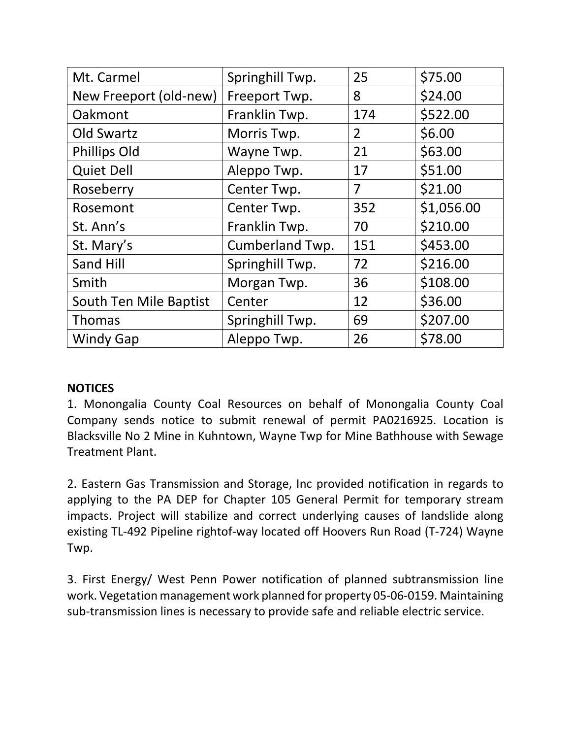| Mt. Carmel             | Springhill Twp.        | 25             | \$75.00    |
|------------------------|------------------------|----------------|------------|
| New Freeport (old-new) | Freeport Twp.          | 8              | \$24.00    |
| Oakmont                | Franklin Twp.          | 174            | \$522.00   |
| Old Swartz             | Morris Twp.            | $\overline{2}$ | \$6.00     |
| <b>Phillips Old</b>    | Wayne Twp.             | 21             | \$63.00    |
| <b>Quiet Dell</b>      | Aleppo Twp.            | 17             | \$51.00    |
| Roseberry              | Center Twp.            | 7              | \$21.00    |
| Rosemont               | Center Twp.            | 352            | \$1,056.00 |
| St. Ann's              | Franklin Twp.          | 70             | \$210.00   |
| St. Mary's             | <b>Cumberland Twp.</b> | 151            | \$453.00   |
| Sand Hill              | Springhill Twp.        | 72             | \$216.00   |
| Smith                  | Morgan Twp.            | 36             | \$108.00   |
| South Ten Mile Baptist | Center                 | 12             | \$36.00    |
| Thomas                 | Springhill Twp.        | 69             | \$207.00   |
| <b>Windy Gap</b>       | Aleppo Twp.            | 26             | \$78.00    |

### **NOTICES**

1. Monongalia County Coal Resources on behalf of Monongalia County Coal Company sends notice to submit renewal of permit PA0216925. Location is Blacksville No 2 Mine in Kuhntown, Wayne Twp for Mine Bathhouse with Sewage Treatment Plant.

2. Eastern Gas Transmission and Storage, Inc provided notification in regards to applying to the PA DEP for Chapter 105 General Permit for temporary stream impacts. Project will stabilize and correct underlying causes of landslide along existing TL-492 Pipeline rightof-way located off Hoovers Run Road (T-724) Wayne Twp.

3. First Energy/ West Penn Power notification of planned subtransmission line work. Vegetation management work planned for property 05-06-0159. Maintaining sub-transmission lines is necessary to provide safe and reliable electric service.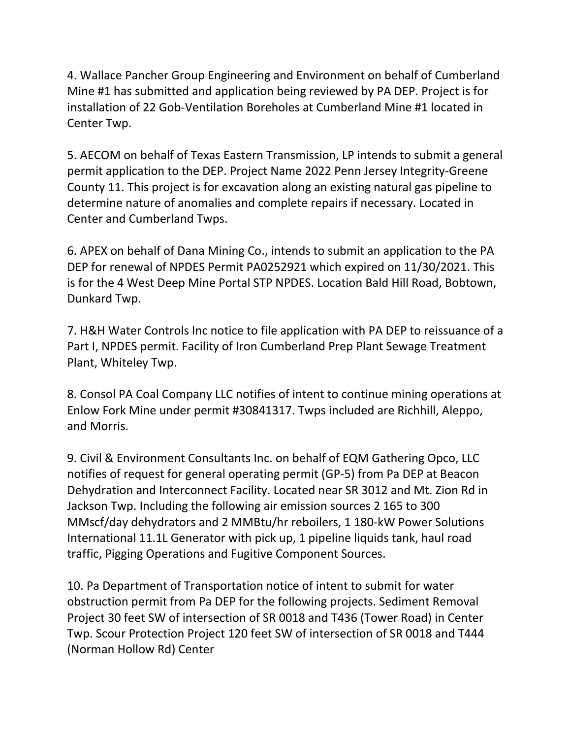4. Wallace Pancher Group Engineering and Environment on behalf of Cumberland Mine #1 has submitted and application being reviewed by PA DEP. Project is for installation of 22 Gob-Ventilation Boreholes at Cumberland Mine #1 located in Center Twp.

5. AECOM on behalf of Texas Eastern Transmission, LP intends to submit a general permit application to the DEP. Project Name 2022 Penn Jersey Integrity-Greene County 11. This project is for excavation along an existing natural gas pipeline to determine nature of anomalies and complete repairs if necessary. Located in Center and Cumberland Twps.

6. APEX on behalf of Dana Mining Co., intends to submit an application to the PA DEP for renewal of NPDES Permit PA0252921 which expired on 11/30/2021. This is for the 4 West Deep Mine Portal STP NPDES. Location Bald Hill Road, Bobtown, Dunkard Twp.

7. H&H Water Controls Inc notice to file application with PA DEP to reissuance of a Part I, NPDES permit. Facility of Iron Cumberland Prep Plant Sewage Treatment Plant, Whiteley Twp.

8. Consol PA Coal Company LLC notifies of intent to continue mining operations at Enlow Fork Mine under permit #30841317. Twps included are Richhill, Aleppo, and Morris.

9. Civil & Environment Consultants Inc. on behalf of EQM Gathering Opco, LLC notifies of request for general operating permit (GP-5) from Pa DEP at Beacon Dehydration and Interconnect Facility. Located near SR 3012 and Mt. Zion Rd in Jackson Twp. Including the following air emission sources 2 165 to 300 MMscf/day dehydrators and 2 MMBtu/hr reboilers, 1 180-kW Power Solutions International 11.1L Generator with pick up, 1 pipeline liquids tank, haul road traffic, Pigging Operations and Fugitive Component Sources.

10. Pa Department of Transportation notice of intent to submit for water obstruction permit from Pa DEP for the following projects. Sediment Removal Project 30 feet SW of intersection of SR 0018 and T436 (Tower Road) in Center Twp. Scour Protection Project 120 feet SW of intersection of SR 0018 and T444 (Norman Hollow Rd) Center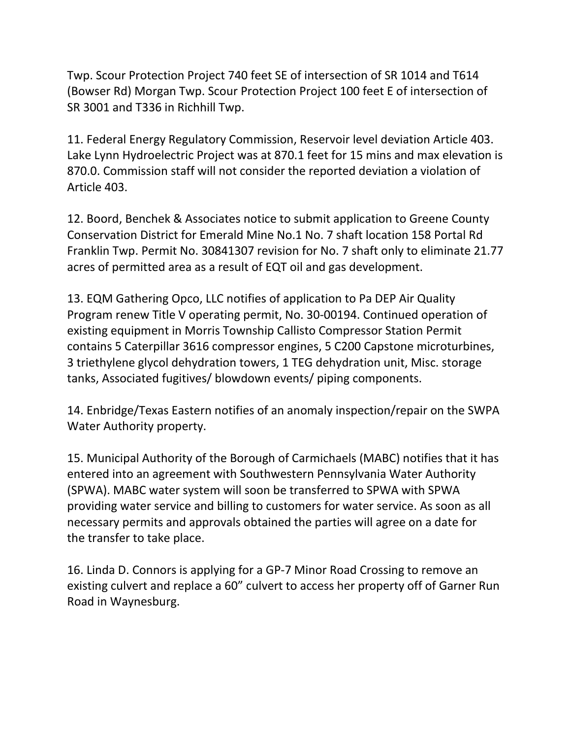Twp. Scour Protection Project 740 feet SE of intersection of SR 1014 and T614 (Bowser Rd) Morgan Twp. Scour Protection Project 100 feet E of intersection of SR 3001 and T336 in Richhill Twp.

11. Federal Energy Regulatory Commission, Reservoir level deviation Article 403. Lake Lynn Hydroelectric Project was at 870.1 feet for 15 mins and max elevation is 870.0. Commission staff will not consider the reported deviation a violation of Article 403.

12. Boord, Benchek & Associates notice to submit application to Greene County Conservation District for Emerald Mine No.1 No. 7 shaft location 158 Portal Rd Franklin Twp. Permit No. 30841307 revision for No. 7 shaft only to eliminate 21.77 acres of permitted area as a result of EQT oil and gas development.

13. EQM Gathering Opco, LLC notifies of application to Pa DEP Air Quality Program renew Title V operating permit, No. 30-00194. Continued operation of existing equipment in Morris Township Callisto Compressor Station Permit contains 5 Caterpillar 3616 compressor engines, 5 C200 Capstone microturbines, 3 triethylene glycol dehydration towers, 1 TEG dehydration unit, Misc. storage tanks, Associated fugitives/ blowdown events/ piping components.

14. Enbridge/Texas Eastern notifies of an anomaly inspection/repair on the SWPA Water Authority property.

15. Municipal Authority of the Borough of Carmichaels (MABC) notifies that it has entered into an agreement with Southwestern Pennsylvania Water Authority (SPWA). MABC water system will soon be transferred to SPWA with SPWA providing water service and billing to customers for water service. As soon as all necessary permits and approvals obtained the parties will agree on a date for the transfer to take place.

16. Linda D. Connors is applying for a GP-7 Minor Road Crossing to remove an existing culvert and replace a 60" culvert to access her property off of Garner Run Road in Waynesburg.